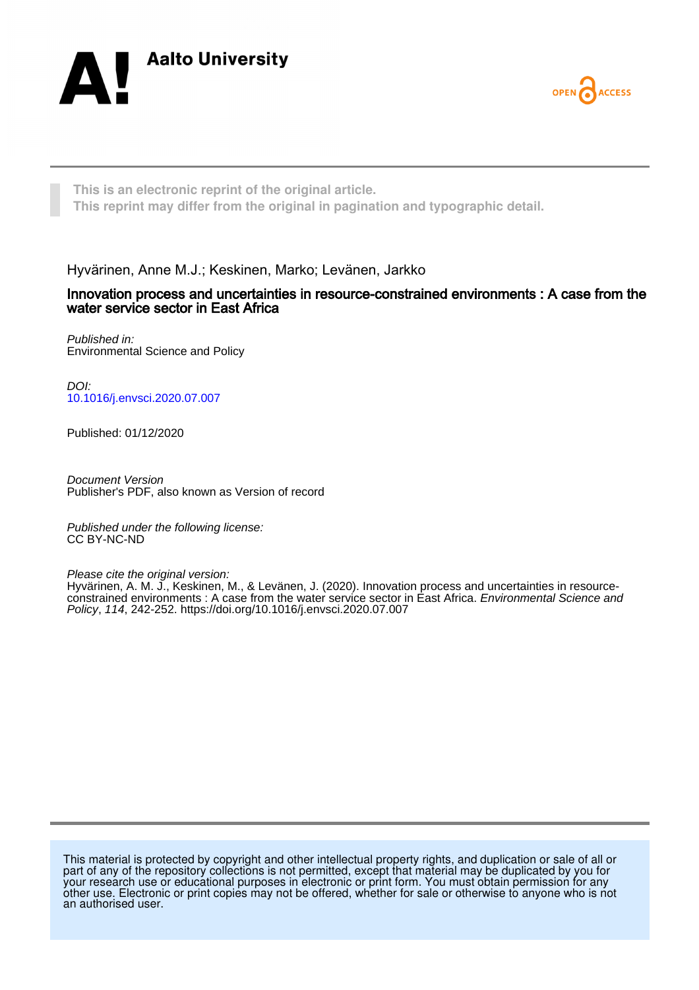



**This is an electronic reprint of the original article. This reprint may differ from the original in pagination and typographic detail.**

Hyvärinen, Anne M.J.; Keskinen, Marko; Levänen, Jarkko

## Innovation process and uncertainties in resource-constrained environments : A case from the water service sector in East Africa

Published in: Environmental Science and Policy

DOI: [10.1016/j.envsci.2020.07.007](https://doi.org/10.1016/j.envsci.2020.07.007)

Published: 01/12/2020

Document Version Publisher's PDF, also known as Version of record

Published under the following license: CC BY-NC-ND

Please cite the original version:

Hyvärinen, A. M. J., Keskinen, M., & Levänen, J. (2020). Innovation process and uncertainties in resourceconstrained environments : A case from the water service sector in East Africa. Environmental Science and Policy, 114, 242-252. <https://doi.org/10.1016/j.envsci.2020.07.007>

This material is protected by copyright and other intellectual property rights, and duplication or sale of all or part of any of the repository collections is not permitted, except that material may be duplicated by you for your research use or educational purposes in electronic or print form. You must obtain permission for any other use. Electronic or print copies may not be offered, whether for sale or otherwise to anyone who is not an authorised user.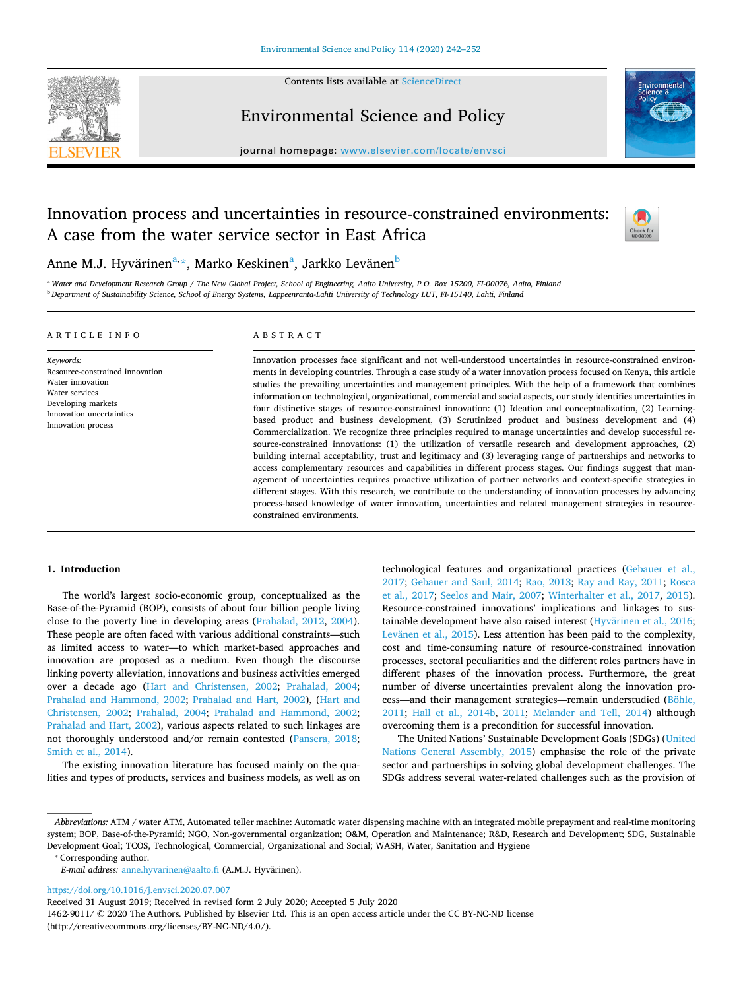

Contents lists available at [ScienceDirect](http://www.sciencedirect.com/science/journal/14629011) 

Environmental Science and Policy



journal homepage: [www.elsevier.com/locate/envsci](https://www.elsevier.com/locate/envsci)

# Innovation process and uncertainties in resource-constrained environments: A case from the water service sector in East Africa



# Anne M.J. Hyvärinen<sup>[a](#page-1-0),</sup>[\\*,](#page-1-1) Marko Keskinen<sup>a</sup>, Jarkko Levänen<sup>b</sup>

<span id="page-1-2"></span><span id="page-1-0"></span><sup>a</sup>*Water and Development Research Group / The New Global Project, School of Engineering, Aalto University, P.O. Box 15200, FI-00076, Aalto, Finland*  <sup>b</sup>*Department of Sustainability Science, School of Energy Systems, Lappeenranta-Lahti University of Technology LUT, FI-15140, Lahti, Finland* 

### A R T I C L E I N F O

### ABSTRACT

*Keywords:*  Resource-constrained innovation Water innovation Water services Developing markets Innovation uncertainties Innovation process

Innovation processes face signifcant and not well-understood uncertainties in resource-constrained environments in developing countries. Through a case study of a water innovation process focused on Kenya, this article studies the prevailing uncertainties and management principles. With the help of a framework that combines information on technological, organizational, commercial and social aspects, our study identifes uncertainties in four distinctive stages of resource-constrained innovation: (1) Ideation and conceptualization, (2) Learningbased product and business development, (3) Scrutinized product and business development and (4) Commercialization. We recognize three principles required to manage uncertainties and develop successful resource-constrained innovations: (1) the utilization of versatile research and development approaches, (2) building internal acceptability, trust and legitimacy and (3) leveraging range of partnerships and networks to access complementary resources and capabilities in diferent process stages. Our fndings suggest that management of uncertainties requires proactive utilization of partner networks and context-specifc strategies in diferent stages. With this research, we contribute to the understanding of innovation processes by advancing process-based knowledge of water innovation, uncertainties and related management strategies in resourceconstrained environments.

#### **1. Introduction**

The world's largest socio-economic group, conceptualized as the Base-of-the-Pyramid (BOP), consists of about four billion people living close to the poverty line in developing areas ([Prahalad, 2012](#page-10-0), [2004](#page-10-1)). These people are often faced with various additional constraints—such as limited access to water—to which market-based approaches and innovation are proposed as a medium. Even though the discourse linking poverty alleviation, innovations and business activities emerged over a decade ago [\(Hart and Christensen, 2002;](#page-10-2) [Prahalad, 2004](#page-10-1); [Prahalad and Hammond, 2002](#page-10-3); [Prahalad and Hart, 2002\)](#page-10-4), [\(Hart and](#page-10-2)  [Christensen, 2002](#page-10-2); [Prahalad, 2004](#page-10-1); [Prahalad and Hammond, 2002](#page-10-3); [Prahalad and Hart, 2002](#page-10-4)), various aspects related to such linkages are not thoroughly understood and/or remain contested [\(Pansera, 2018](#page-10-5); [Smith et al., 2014\)](#page-11-0).

The existing innovation literature has focused mainly on the qualities and types of products, services and business models, as well as on technological features and organizational practices ([Gebauer et al.,](#page-10-6)  [2017;](#page-10-6) [Gebauer and Saul, 2014](#page-10-7); [Rao, 2013](#page-11-1); [Ray and Ray, 2011](#page-11-2); [Rosca](#page-11-3)  [et al., 2017](#page-11-3); [Seelos and Mair, 2007](#page-11-4); [Winterhalter et al., 2017](#page-11-5), [2015](#page-11-6)). Resource-constrained innovations' implications and linkages to sustainable development have also raised interest [\(Hyvärinen et al., 2016](#page-10-8); [Levänen et al., 2015\)](#page-10-9). Less attention has been paid to the complexity, cost and time-consuming nature of resource-constrained innovation processes, sectoral peculiarities and the diferent roles partners have in diferent phases of the innovation process. Furthermore, the great number of diverse uncertainties prevalent along the innovation process—and their management strategies—remain understudied [\(Böhle,](#page-10-10)  [2011;](#page-10-10) [Hall et al., 2014b](#page-10-11), [2011](#page-10-12); [Melander and Tell, 2014](#page-10-13)) although overcoming them is a precondition for successful innovation.

The United Nations' Sustainable Development Goals (SDGs) ([United](#page-11-7)  [Nations General Assembly, 2015](#page-11-7)) emphasise the role of the private sector and partnerships in solving global development challenges. The SDGs address several water-related challenges such as the provision of

<span id="page-1-1"></span>⁎ Corresponding author.

<https://doi.org/10.1016/j.envsci.2020.07.007>

*Abbreviations:* ATM / water ATM, Automated teller machine: Automatic water dispensing machine with an integrated mobile prepayment and real-time monitoring system; BOP, Base-of-the-Pyramid; NGO, Non-governmental organization; O&M, Operation and Maintenance; R&D, Research and Development; SDG, Sustainable Development Goal; TCOS, Technological, Commercial, Organizational and Social; WASH, Water, Sanitation and Hygiene

*E-mail address: anne.hyvarinen@aalto.fi (A.M.J. Hyvärinen).* 

Received 31 August 2019; Received in revised form 2 July 2020; Accepted 5 July 2020

<sup>1462-9011/ © 2020</sup> The Authors. Published by Elsevier Ltd. This is an open access article under the CC BY-NC-ND license (http://creativecommons.org/licenses/BY-NC-ND/4.0/).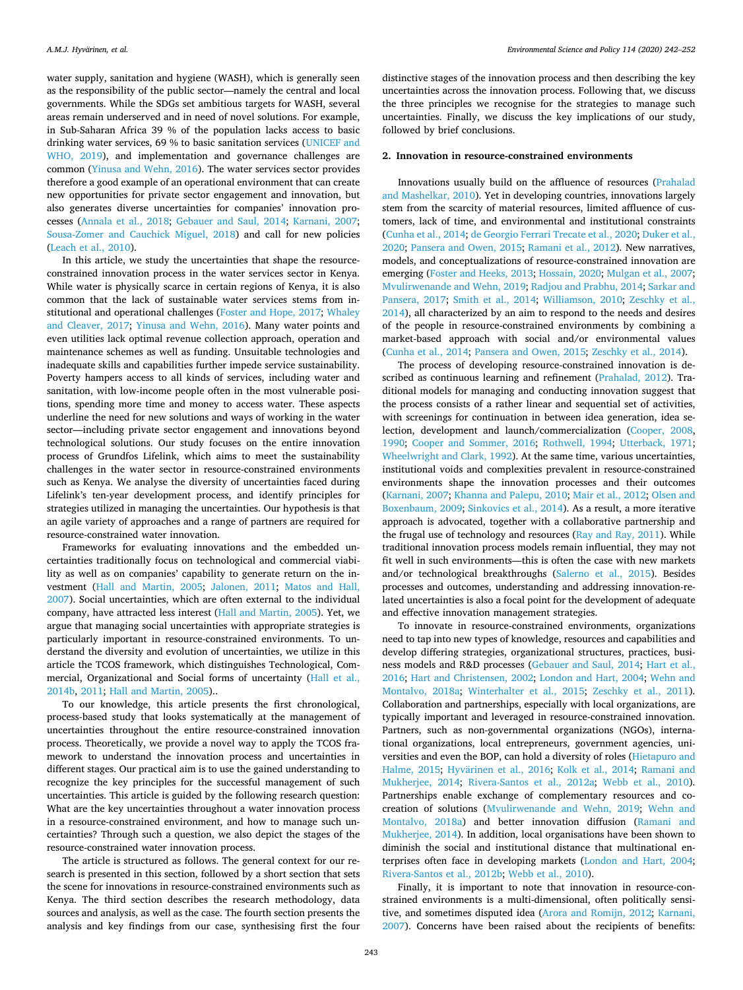water supply, sanitation and hygiene (WASH), which is generally seen as the responsibility of the public sector—namely the central and local governments. While the SDGs set ambitious targets for WASH, several areas remain underserved and in need of novel solutions. For example, in Sub-Saharan Africa 39 % of the population lacks access to basic drinking water services, 69 % to basic sanitation services [\(UNICEF and](#page-11-8)  [WHO, 2019](#page-11-8)), and implementation and governance challenges are common ([Yinusa and Wehn, 2016\)](#page-11-9). The water services sector provides therefore a good example of an operational environment that can create new opportunities for private sector engagement and innovation, but also generates diverse uncertainties for companies' innovation processes [\(Annala et al., 2018;](#page-10-14) [Gebauer and Saul, 2014](#page-10-7); [Karnani, 2007](#page-10-15); [Sousa-Zomer and Cauchick Miguel, 2018\)](#page-11-10) and call for new policies ([Leach et al., 2010](#page-10-16)).

In this article, we study the uncertainties that shape the resourceconstrained innovation process in the water services sector in Kenya. While water is physically scarce in certain regions of Kenya, it is also common that the lack of sustainable water services stems from institutional and operational challenges ([Foster and Hope, 2017](#page-10-17); [Whaley](#page-11-11)  [and Cleaver, 2017;](#page-11-11) [Yinusa and Wehn, 2016](#page-11-9)). Many water points and even utilities lack optimal revenue collection approach, operation and maintenance schemes as well as funding. Unsuitable technologies and inadequate skills and capabilities further impede service sustainability. Poverty hampers access to all kinds of services, including water and sanitation, with low-income people often in the most vulnerable positions, spending more time and money to access water. These aspects underline the need for new solutions and ways of working in the water sector—including private sector engagement and innovations beyond technological solutions. Our study focuses on the entire innovation process of Grundfos Lifelink, which aims to meet the sustainability challenges in the water sector in resource-constrained environments such as Kenya. We analyse the diversity of uncertainties faced during Lifelink's ten-year development process, and identify principles for strategies utilized in managing the uncertainties. Our hypothesis is that an agile variety of approaches and a range of partners are required for resource-constrained water innovation.

Frameworks for evaluating innovations and the embedded uncertainties traditionally focus on technological and commercial viability as well as on companies' capability to generate return on the investment [\(Hall and Martin, 2005](#page-10-18); [Jalonen, 2011;](#page-10-19) [Matos and Hall,](#page-10-20)  [2007\)](#page-10-20). Social uncertainties, which are often external to the individual company, have attracted less interest ([Hall and Martin, 2005](#page-10-18)). Yet, we argue that managing social uncertainties with appropriate strategies is particularly important in resource-constrained environments. To understand the diversity and evolution of uncertainties, we utilize in this article the TCOS framework, which distinguishes Technological, Commercial, Organizational and Social forms of uncertainty ([Hall et al.,](#page-10-11)  [2014b,](#page-10-11) [2011;](#page-10-12) [Hall and Martin, 2005](#page-10-18))..

To our knowledge, this article presents the frst chronological, process-based study that looks systematically at the management of uncertainties throughout the entire resource-constrained innovation process. Theoretically, we provide a novel way to apply the TCOS framework to understand the innovation process and uncertainties in diferent stages. Our practical aim is to use the gained understanding to recognize the key principles for the successful management of such uncertainties. This article is guided by the following research question: What are the key uncertainties throughout a water innovation process in a resource-constrained environment, and how to manage such uncertainties? Through such a question, we also depict the stages of the resource-constrained water innovation process.

The article is structured as follows. The general context for our research is presented in this section, followed by a short section that sets the scene for innovations in resource-constrained environments such as Kenya. The third section describes the research methodology, data sources and analysis, as well as the case. The fourth section presents the analysis and key findings from our case, synthesising first the four

distinctive stages of the innovation process and then describing the key uncertainties across the innovation process. Following that, we discuss the three principles we recognise for the strategies to manage such uncertainties. Finally, we discuss the key implications of our study, followed by brief conclusions.

### **2. Innovation in resource-constrained environments**

Innovations usually build on the affluence of resources (Prahalad [and Mashelkar, 2010](#page-10-21)). Yet in developing countries, innovations largely stem from the scarcity of material resources, limited affluence of customers, lack of time, and environmental and institutional constraints ([Cunha et al., 2014](#page-10-22); [de Georgio Ferrari Trecate et al., 2020;](#page-10-23) [Duker et al.,](#page-10-24)  [2020;](#page-10-24) [Pansera and Owen, 2015;](#page-10-25) [Ramani et al., 2012\)](#page-11-12). New narratives, models, and conceptualizations of resource-constrained innovation are emerging ([Foster and Heeks, 2013;](#page-10-26) [Hossain, 2020](#page-10-27); [Mulgan et al., 2007](#page-10-28); [Mvulirwenande and Wehn, 2019;](#page-10-29) [Radjou and Prabhu, 2014;](#page-10-30) [Sarkar and](#page-11-13)  [Pansera, 2017;](#page-11-13) [Smith et al., 2014;](#page-11-0) [Williamson, 2010](#page-11-14); [Zeschky et al.,](#page-11-15)  [2014\)](#page-11-15), all characterized by an aim to respond to the needs and desires of the people in resource-constrained environments by combining a market-based approach with social and/or environmental values ([Cunha et al., 2014;](#page-10-22) [Pansera and Owen, 2015;](#page-10-25) [Zeschky et al., 2014](#page-11-15)).

The process of developing resource-constrained innovation is described as continuous learning and refnement [\(Prahalad, 2012\)](#page-10-0). Traditional models for managing and conducting innovation suggest that the process consists of a rather linear and sequential set of activities, with screenings for continuation in between idea generation, idea selection, development and launch/commercialization ([Cooper, 2008](#page-10-31), [1990;](#page-10-32) [Cooper and Sommer, 2016](#page-10-33); [Rothwell, 1994;](#page-11-16) [Utterback, 1971](#page-11-17); [Wheelwright and Clark, 1992\)](#page-11-18). At the same time, various uncertainties, institutional voids and complexities prevalent in resource-constrained environments shape the innovation processes and their outcomes ([Karnani, 2007;](#page-10-15) [Khanna and Palepu, 2010;](#page-10-34) [Mair et al., 2012](#page-10-35); [Olsen and](#page-10-36)  [Boxenbaum, 2009;](#page-10-36) [Sinkovics et al., 2014](#page-11-19)). As a result, a more iterative approach is advocated, together with a collaborative partnership and the frugal use of technology and resources ([Ray and Ray, 2011](#page-11-2)). While traditional innovation process models remain infuential, they may not ft well in such environments—this is often the case with new markets and/or technological breakthroughs [\(Salerno et al., 2015\)](#page-11-20). Besides processes and outcomes, understanding and addressing innovation-related uncertainties is also a focal point for the development of adequate and efective innovation management strategies.

To innovate in resource-constrained environments, organizations need to tap into new types of knowledge, resources and capabilities and develop difering strategies, organizational structures, practices, business models and R&D processes ([Gebauer and Saul, 2014](#page-10-7); [Hart et al.,](#page-10-37)  [2016;](#page-10-37) [Hart and Christensen, 2002;](#page-10-2) [London and Hart, 2004](#page-10-38); [Wehn and](#page-11-21)  [Montalvo, 2018a;](#page-11-21) [Winterhalter et al., 2015;](#page-11-6) [Zeschky et al., 2011](#page-11-22)). Collaboration and partnerships, especially with local organizations, are typically important and leveraged in resource-constrained innovation. Partners, such as non-governmental organizations (NGOs), international organizations, local entrepreneurs, government agencies, universities and even the BOP, can hold a diversity of roles [\(Hietapuro and](#page-10-39)  [Halme, 2015](#page-10-39); [Hyvärinen et al., 2016](#page-10-8); [Kolk et al., 2014;](#page-10-40) [Ramani and](#page-11-23)  [Mukherjee, 2014;](#page-11-23) [Rivera-Santos et al., 2012a;](#page-11-24) [Webb et al., 2010](#page-11-25)). Partnerships enable exchange of complementary resources and cocreation of solutions [\(Mvulirwenande and Wehn, 2019;](#page-10-29) [Wehn and](#page-11-21)  [Montalvo, 2018a\)](#page-11-21) and better innovation difusion [\(Ramani and](#page-11-23)  [Mukherjee, 2014\)](#page-11-23). In addition, local organisations have been shown to diminish the social and institutional distance that multinational enterprises often face in developing markets ([London and Hart, 2004](#page-10-38); [Rivera-Santos et al., 2012b;](#page-11-26) [Webb et al., 2010](#page-11-25)).

Finally, it is important to note that innovation in resource-constrained environments is a multi-dimensional, often politically sensitive, and sometimes disputed idea ([Arora and Romijn, 2012;](#page-10-41) [Karnani,](#page-10-15)  [2007\)](#page-10-15). Concerns have been raised about the recipients of benefts: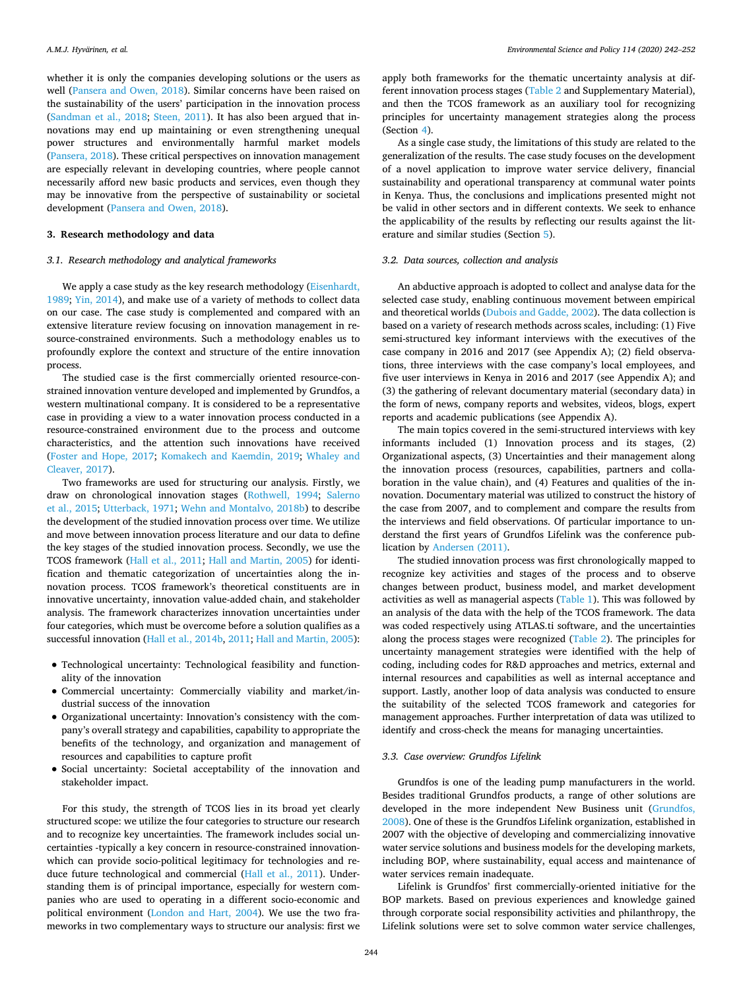whether it is only the companies developing solutions or the users as well [\(Pansera and Owen, 2018](#page-10-42)). Similar concerns have been raised on the sustainability of the users' participation in the innovation process ([Sandman et al., 2018](#page-11-27); [Steen, 2011\)](#page-11-28). It has also been argued that innovations may end up maintaining or even strengthening unequal power structures and environmentally harmful market models ([Pansera, 2018](#page-10-5)). These critical perspectives on innovation management are especially relevant in developing countries, where people cannot necessarily afford new basic products and services, even though they may be innovative from the perspective of sustainability or societal development ([Pansera and Owen, 2018\)](#page-10-42).

### **3. Research methodology and data**

### <span id="page-3-0"></span>*3.1. Research methodology and analytical frameworks*

We apply a case study as the key research methodology ([Eisenhardt,](#page-10-43)  [1989;](#page-10-43) [Yin, 2014\)](#page-11-29), and make use of a variety of methods to collect data on our case. The case study is complemented and compared with an extensive literature review focusing on innovation management in resource-constrained environments. Such a methodology enables us to profoundly explore the context and structure of the entire innovation process.

The studied case is the first commercially oriented resource-constrained innovation venture developed and implemented by Grundfos, a western multinational company. It is considered to be a representative case in providing a view to a water innovation process conducted in a resource-constrained environment due to the process and outcome characteristics, and the attention such innovations have received ([Foster and Hope, 2017;](#page-10-17) [Komakech and Kaemdin, 2019](#page-10-44); [Whaley and](#page-11-11)  [Cleaver, 2017\)](#page-11-11).

Two frameworks are used for structuring our analysis. Firstly, we draw on chronological innovation stages ([Rothwell, 1994](#page-11-16); [Salerno](#page-11-20)  [et al., 2015](#page-11-20); [Utterback, 1971](#page-11-17); [Wehn and Montalvo, 2018b](#page-11-30)) to describe the development of the studied innovation process over time. We utilize and move between innovation process literature and our data to defne the key stages of the studied innovation process. Secondly, we use the TCOS framework [\(Hall et al., 2011](#page-10-12); [Hall and Martin, 2005](#page-10-18)) for identification and thematic categorization of uncertainties along the innovation process. TCOS framework's theoretical constituents are in innovative uncertainty, innovation value-added chain, and stakeholder analysis. The framework characterizes innovation uncertainties under four categories, which must be overcome before a solution qualifes as a successful innovation ([Hall et al., 2014b,](#page-10-11) [2011;](#page-10-12) [Hall and Martin, 2005](#page-10-18)):

- Technological uncertainty: Technological feasibility and functionality of the innovation
- Commercial uncertainty: Commercially viability and market/industrial success of the innovation
- Organizational uncertainty: Innovation's consistency with the company's overall strategy and capabilities, capability to appropriate the benefts of the technology, and organization and management of resources and capabilities to capture proft
- Social uncertainty: Societal acceptability of the innovation and stakeholder impact.

For this study, the strength of TCOS lies in its broad yet clearly structured scope: we utilize the four categories to structure our research and to recognize key uncertainties. The framework includes social uncertainties -typically a key concern in resource-constrained innovationwhich can provide socio-political legitimacy for technologies and reduce future technological and commercial [\(Hall et al., 2011\)](#page-10-12). Understanding them is of principal importance, especially for western companies who are used to operating in a diferent socio-economic and political environment [\(London and Hart, 2004\)](#page-10-38). We use the two frameworks in two complementary ways to structure our analysis: frst we

apply both frameworks for the thematic uncertainty analysis at different innovation process stages ([Table 2](#page-5-0) and Supplementary Material), and then the TCOS framework as an auxiliary tool for recognizing principles for uncertainty management strategies along the process (Section [4](#page-6-0)).

As a single case study, the limitations of this study are related to the generalization of the results. The case study focuses on the development of a novel application to improve water service delivery, fnancial sustainability and operational transparency at communal water points in Kenya. Thus, the conclusions and implications presented might not be valid in other sectors and in diferent contexts. We seek to enhance the applicability of the results by refecting our results against the literature and similar studies (Section [5](#page-7-0)).

### *3.2. Data sources, collection and analysis*

An abductive approach is adopted to collect and analyse data for the selected case study, enabling continuous movement between empirical and theoretical worlds [\(Dubois and Gadde, 2002](#page-10-45)). The data collection is based on a variety of research methods across scales, including: (1) Five semi-structured key informant interviews with the executives of the case company in 2016 and 2017 (see Appendix A); (2) feld observations, three interviews with the case company's local employees, and fve user interviews in Kenya in 2016 and 2017 (see Appendix A); and (3) the gathering of relevant documentary material (secondary data) in the form of news, company reports and websites, videos, blogs, expert reports and academic publications (see Appendix A).

The main topics covered in the semi-structured interviews with key informants included (1) Innovation process and its stages, (2) Organizational aspects, (3) Uncertainties and their management along the innovation process (resources, capabilities, partners and collaboration in the value chain), and (4) Features and qualities of the innovation. Documentary material was utilized to construct the history of the case from 2007, and to complement and compare the results from the interviews and field observations. Of particular importance to understand the frst years of Grundfos Lifelink was the conference publication by [Andersen \(2011\).](#page-10-46)

The studied innovation process was frst chronologically mapped to recognize key activities and stages of the process and to observe changes between product, business model, and market development activities as well as managerial aspects [\(Table 1](#page-4-0)). This was followed by an analysis of the data with the help of the TCOS framework. The data was coded respectively using ATLAS.ti software, and the uncertainties along the process stages were recognized [\(Table 2](#page-5-0)). The principles for uncertainty management strategies were identifed with the help of coding, including codes for R&D approaches and metrics, external and internal resources and capabilities as well as internal acceptance and support. Lastly, another loop of data analysis was conducted to ensure the suitability of the selected TCOS framework and categories for management approaches. Further interpretation of data was utilized to identify and cross-check the means for managing uncertainties.

### *3.3. Case overview: Grundfos Lifelink*

Grundfos is one of the leading pump manufacturers in the world. Besides traditional Grundfos products, a range of other solutions are developed in the more independent New Business unit [\(Grundfos,](#page-10-47)  [2008\)](#page-10-47). One of these is the Grundfos Lifelink organization, established in 2007 with the objective of developing and commercializing innovative water service solutions and business models for the developing markets, including BOP, where sustainability, equal access and maintenance of water services remain inadequate.

Lifelink is Grundfos' frst commercially-oriented initiative for the BOP markets. Based on previous experiences and knowledge gained through corporate social responsibility activities and philanthropy, the Lifelink solutions were set to solve common water service challenges,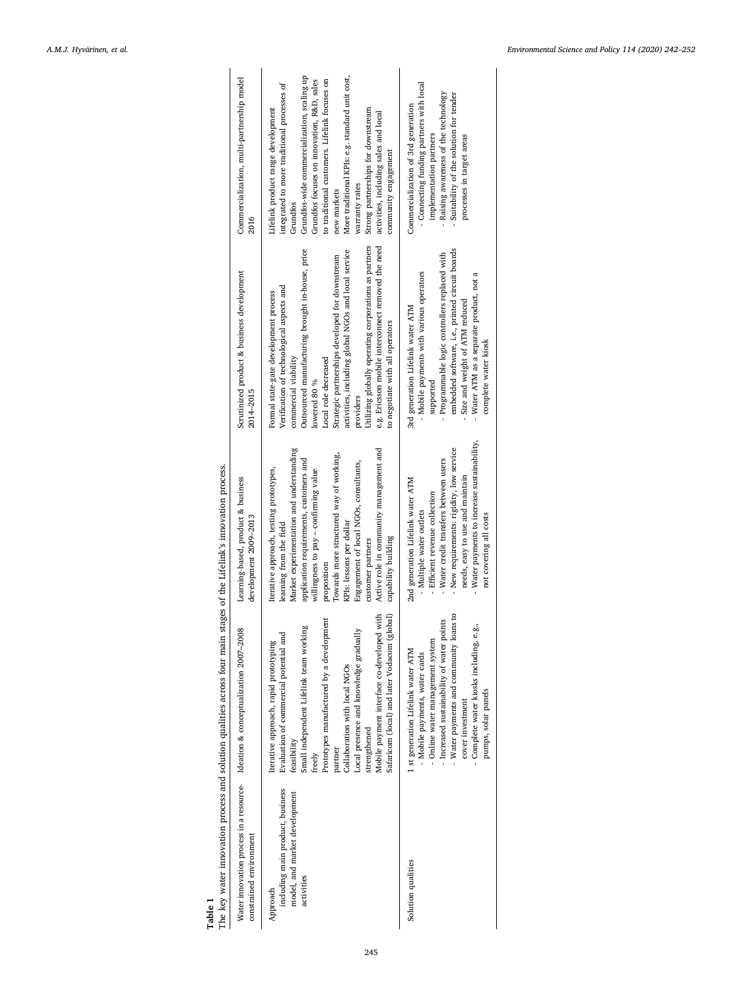<span id="page-4-0"></span>

| The key water innovation process and solution qualities across four main stages of the Lifelink's innovation process. | Commercialization, multi-partnership model<br>2016<br>Scrutinized product & business development<br>2014-2015<br>Learning-based, product & business<br>development 2009-2013<br>Water innovation process in a resource- Ideation & conceptualization 2007-2008 | More traditional KPIs: e.g. standard unit cost,<br>Grundfos-wide commercialization, scaling up<br>to traditional customers. Lifelink focuses on<br>Grundfos focuses on innovation, R&D, sales<br>integrated to more traditional processes of<br>Strong partnerships for downstream<br>Lifelink product range development<br>activities, including sales and local<br>community engagement<br>warranty rates<br>new markets<br>Grundfos<br>Utilizing globally operating corporations as partners<br>e.g. Ericsson mobile interconnect removed the need<br>Outsourced manufacturing brought in-house, price<br>activities, including global NGOs and local service<br>Strategic partnerships developed for downstream<br>Verification of technological aspects and<br>Formal state-gate development process<br>to negotiate with all operators<br>commercial viability<br>Local role decreased<br>lowered 80 %<br>providers<br>Market experimentation and understanding<br>Active role in community management and<br>Towards more structured way of working,<br>application requirements, customers and<br>Engagement of local NGOs, consultants,<br>Iterative approach, testing prototypes,<br>willingness to pay – confirming value<br>KPIs: lessons per dollar<br>learning from the field<br>capability building<br>customer partners<br>proposition<br>Safaricom (local) and later Vodacom (global)<br>Mobile payment interface co-developed with<br>Prototypes manufactured by a development<br>Small independent Lifelink team working<br>Local presence and knowledge gradually<br>Evaluation of commercial potential and<br>Iterative approach, rapid prototyping<br>Collaboration with local NGOs<br>strengthened<br>feasibility<br>partner<br>freely | - Connecting funding partners with local<br>Raising awareness of the technology<br>Suitability of the solution for tender<br>Commercialization of 3rd generation<br>implementation partners<br>processes in target areas<br>embedded software, i.e., printed circuit boards<br>- Programmable logic controllers replaced with<br>- Mobile payments with various operators<br>Water ATM as a separate product, not a<br>Size and weight of ATM reduced<br>3rd generation Lifelink water ATM<br>complete water kiosk<br>supported<br>- Water payments to increase sustainability,<br>New requirements: rigidity, low service<br>- Water credit transfers between users<br>needs, easy to use and maintain<br>2nd generation Lifelink water ATM<br>- Efficient revenue collection<br>Multiple water outlets<br>not covering all costs<br>Water payments and community loans to<br>- Increased sustainability of water points<br>- Complete water kiosks including, e.g.,<br>- Online water management system<br>1 st generation Lifelink water ATM<br>Mobile payments, water cards<br>pumps, solar panels<br>cover investment |
|-----------------------------------------------------------------------------------------------------------------------|----------------------------------------------------------------------------------------------------------------------------------------------------------------------------------------------------------------------------------------------------------------|---------------------------------------------------------------------------------------------------------------------------------------------------------------------------------------------------------------------------------------------------------------------------------------------------------------------------------------------------------------------------------------------------------------------------------------------------------------------------------------------------------------------------------------------------------------------------------------------------------------------------------------------------------------------------------------------------------------------------------------------------------------------------------------------------------------------------------------------------------------------------------------------------------------------------------------------------------------------------------------------------------------------------------------------------------------------------------------------------------------------------------------------------------------------------------------------------------------------------------------------------------------------------------------------------------------------------------------------------------------------------------------------------------------------------------------------------------------------------------------------------------------------------------------------------------------------------------------------------------------------------------------------------------------------------------------------------------------------------------------------------------------|----------------------------------------------------------------------------------------------------------------------------------------------------------------------------------------------------------------------------------------------------------------------------------------------------------------------------------------------------------------------------------------------------------------------------------------------------------------------------------------------------------------------------------------------------------------------------------------------------------------------------------------------------------------------------------------------------------------------------------------------------------------------------------------------------------------------------------------------------------------------------------------------------------------------------------------------------------------------------------------------------------------------------------------------------------------------------------------------------------------------------|
| Table 1                                                                                                               | constrained environment                                                                                                                                                                                                                                        | including main product, business<br>model, and market development<br>activities<br>Approach                                                                                                                                                                                                                                                                                                                                                                                                                                                                                                                                                                                                                                                                                                                                                                                                                                                                                                                                                                                                                                                                                                                                                                                                                                                                                                                                                                                                                                                                                                                                                                                                                                                                   | Solution qualities                                                                                                                                                                                                                                                                                                                                                                                                                                                                                                                                                                                                                                                                                                                                                                                                                                                                                                                                                                                                                                                                                                         |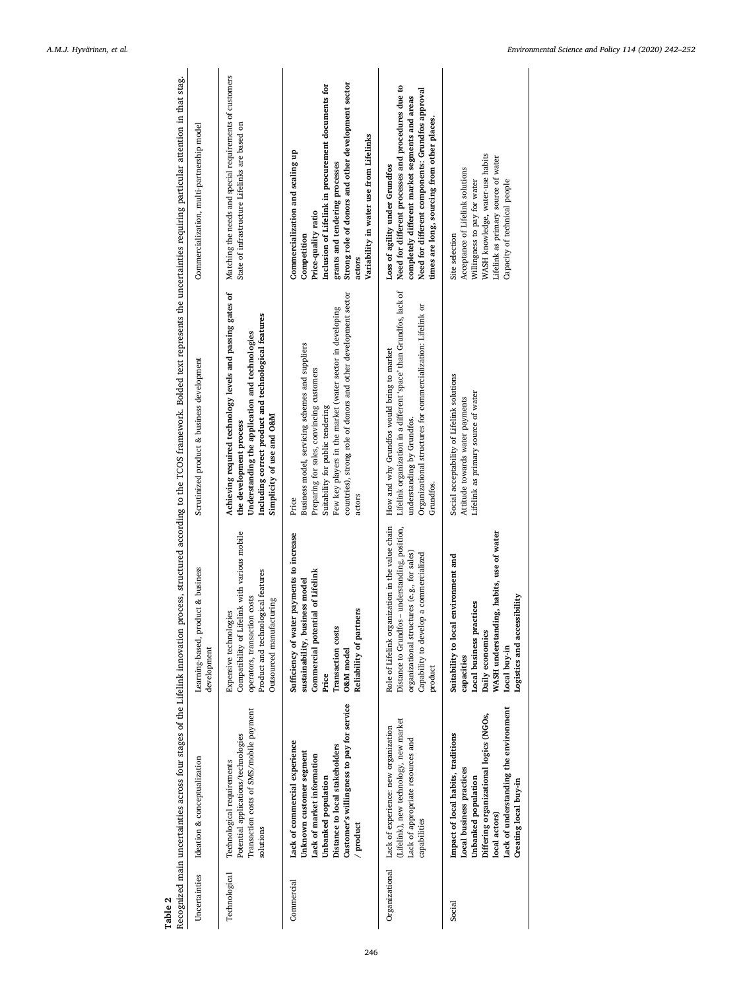<span id="page-5-0"></span>

| Table 2        |                                                                                                                                                                                                                    |                                                                                                                                                                                                         | Recognized main uncertainties across four stages of the Lifelink innovation process, structured according to the TCOS framework. Bolded text represents the uncertainties requiring particular attention in that stag.                                                             |                                                                                                                                                                                                                                                                           |
|----------------|--------------------------------------------------------------------------------------------------------------------------------------------------------------------------------------------------------------------|---------------------------------------------------------------------------------------------------------------------------------------------------------------------------------------------------------|------------------------------------------------------------------------------------------------------------------------------------------------------------------------------------------------------------------------------------------------------------------------------------|---------------------------------------------------------------------------------------------------------------------------------------------------------------------------------------------------------------------------------------------------------------------------|
| Uncertainties  | Ideation & conceptualization                                                                                                                                                                                       | Learning-based, product & business<br>development                                                                                                                                                       | Scrutinized product & business development                                                                                                                                                                                                                                         | Commercialization, multi-partnership model                                                                                                                                                                                                                                |
| Technological  | Transaction costs of SMS/mobile payment<br>Potential applications/technologies<br>Technological requirements<br>solutions                                                                                          | Compatibility of Lifelink with various mobile<br>Product and technological features<br>operators, transaction costs<br>Outsourced manufacturing<br>Expensive technologies                               | Achieving required technology levels and passing gates of<br>Including correct product and technological features<br>Understanding the application and technologies<br>Simplicity of use and O&M<br>the development process                                                        | Matching the needs and special requirements of customers<br>State of infrastructure Lifelinks are based on                                                                                                                                                                |
| Commercial     | Customer's willingness to pay for service<br>Lack of commercial experience<br>Distance to local stakeholders<br>Unknown customer segment<br>Lack of market information<br>Unbanked population<br>/ product         | Sufficiency of water payments to increase<br>Commercial potential of Lifelink<br>sustainability, business model<br>Reliability of partners<br><b>Transaction</b> costs<br>O&M model<br>Price            | countries), strong role of donors and other development sector<br>Few key players in the market (water sector in developing<br>Business model, servicing schemes and suppliers<br>Preparing for sales, convincing customers<br>Suitability for public tendering<br>actors<br>Price | Strong role of donors and other development sector<br>Inclusion of Lifelink in procurement documents for<br>Variability in water use from Lifelinks<br>Commercialization and scaling up<br>grants and tendering processes<br>Price-quality ratio<br>Competition<br>actors |
| Organizational | (Lifelink), new technology, new market<br>Lack of experience: new organization<br>Lack of appropriate resources and<br>capabilities                                                                                | Role of Lifelink organization in the value chain<br>Distance to Grundfos - understanding, position,<br>organizational structures (e.g., for sales)<br>Capability to develop a commercialized<br>product | Lifelink organization in a different 'space' than Grundfos, lack of<br>Organizational structures for commercialization: Lifelink or<br>How and why Grundfos would bring to market<br>understanding by Grundfos.<br>Grundfos.                                                       | Need for different processes and procedures due to<br>Need for different components: Grundfos approval<br>completely different market segments and areas<br>times are long, sourcing from other places.<br>Loss of agility under Grundfos                                 |
| Social         | Lack of understanding the environment<br>Differing organizational logics (NGOs,<br>Impact of local habits, traditions<br>Local business practices<br>Unbanked population<br>Creating local buy-in<br>local actors) | WASH understanding, habits, use of water<br>environment and<br>Logistics and accessibility<br>Local business practices<br>Suitability to local<br>Daily economics<br>Local buy-in<br>capacities         | Social acceptability of Lifelink solutions<br>Lifelink as primary source of water<br>Attitude towards water payments                                                                                                                                                               | WASH knowledge, water-use habits<br>Lifelink as primary source of water<br>Acceptance of Lifelink solutions<br>Capacity of technical people<br>Willingness to pay for water<br>Site selection                                                                             |
|                |                                                                                                                                                                                                                    |                                                                                                                                                                                                         |                                                                                                                                                                                                                                                                                    |                                                                                                                                                                                                                                                                           |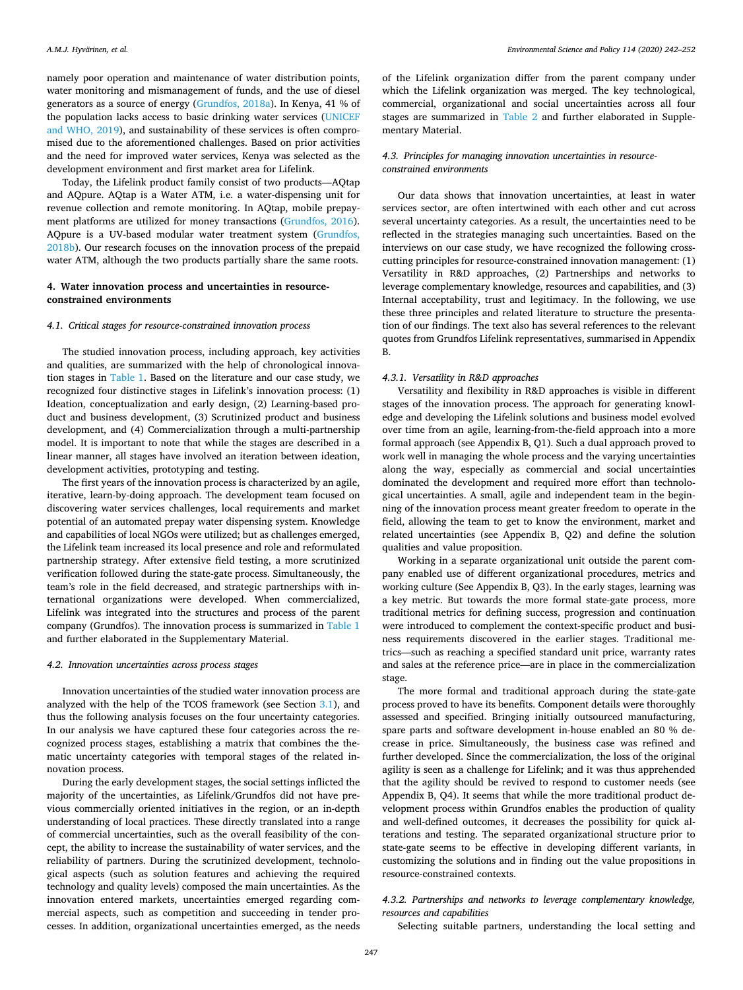namely poor operation and maintenance of water distribution points, water monitoring and mismanagement of funds, and the use of diesel generators as a source of energy ([Grundfos, 2018a\)](#page-10-48). In Kenya, 41 % of the population lacks access to basic drinking water services ([UNICEF](#page-11-8)  [and WHO, 2019\)](#page-11-8), and sustainability of these services is often compromised due to the aforementioned challenges. Based on prior activities and the need for improved water services, Kenya was selected as the development environment and frst market area for Lifelink.

Today, the Lifelink product family consist of two products—AQtap and AQpure. AQtap is a Water ATM, i.e. a water-dispensing unit for revenue collection and remote monitoring. In AQtap, mobile prepayment platforms are utilized for money transactions ([Grundfos, 2016](#page-10-49)). AQpure is a UV-based modular water treatment system [\(Grundfos,](#page-10-50)  [2018b\)](#page-10-50). Our research focuses on the innovation process of the prepaid water ATM, although the two products partially share the same roots.

### <span id="page-6-0"></span>**4. Water innovation process and uncertainties in resourceconstrained environments**

#### *4.1. Critical stages for resource-constrained innovation process*

The studied innovation process, including approach, key activities and qualities, are summarized with the help of chronological innovation stages in [Table 1](#page-4-0). Based on the literature and our case study, we recognized four distinctive stages in Lifelink's innovation process: (1) Ideation, conceptualization and early design, (2) Learning-based product and business development, (3) Scrutinized product and business development, and (4) Commercialization through a multi-partnership model. It is important to note that while the stages are described in a linear manner, all stages have involved an iteration between ideation, development activities, prototyping and testing.

The first years of the innovation process is characterized by an agile, iterative, learn-by-doing approach. The development team focused on discovering water services challenges, local requirements and market potential of an automated prepay water dispensing system. Knowledge and capabilities of local NGOs were utilized; but as challenges emerged, the Lifelink team increased its local presence and role and reformulated partnership strategy. After extensive feld testing, a more scrutinized verifcation followed during the state-gate process. Simultaneously, the team's role in the feld decreased, and strategic partnerships with international organizations were developed. When commercialized, Lifelink was integrated into the structures and process of the parent company (Grundfos). The innovation process is summarized in [Table 1](#page-4-0)  and further elaborated in the Supplementary Material.

#### *4.2. Innovation uncertainties across process stages*

Innovation uncertainties of the studied water innovation process are analyzed with the help of the TCOS framework (see Section [3.1](#page-3-0)), and thus the following analysis focuses on the four uncertainty categories. In our analysis we have captured these four categories across the recognized process stages, establishing a matrix that combines the thematic uncertainty categories with temporal stages of the related innovation process.

During the early development stages, the social settings inficted the majority of the uncertainties, as Lifelink/Grundfos did not have previous commercially oriented initiatives in the region, or an in-depth understanding of local practices. These directly translated into a range of commercial uncertainties, such as the overall feasibility of the concept, the ability to increase the sustainability of water services, and the reliability of partners. During the scrutinized development, technological aspects (such as solution features and achieving the required technology and quality levels) composed the main uncertainties. As the innovation entered markets, uncertainties emerged regarding commercial aspects, such as competition and succeeding in tender processes. In addition, organizational uncertainties emerged, as the needs of the Lifelink organization difer from the parent company under which the Lifelink organization was merged. The key technological, commercial, organizational and social uncertainties across all four stages are summarized in [Table 2](#page-5-0) and further elaborated in Supplementary Material.

### <span id="page-6-1"></span>*4.3. Principles for managing innovation uncertainties in resourceconstrained environments*

Our data shows that innovation uncertainties, at least in water services sector, are often intertwined with each other and cut across several uncertainty categories. As a result, the uncertainties need to be reflected in the strategies managing such uncertainties. Based on the interviews on our case study, we have recognized the following crosscutting principles for resource-constrained innovation management: (1) Versatility in R&D approaches, (2) Partnerships and networks to leverage complementary knowledge, resources and capabilities, and (3) Internal acceptability, trust and legitimacy. In the following, we use these three principles and related literature to structure the presentation of our fndings. The text also has several references to the relevant quotes from Grundfos Lifelink representatives, summarised in Appendix B.

### *4.3.1. Versatility in R&D approaches*

Versatility and fexibility in R&D approaches is visible in diferent stages of the innovation process. The approach for generating knowledge and developing the Lifelink solutions and business model evolved over time from an agile, learning-from-the-feld approach into a more formal approach (see Appendix B, Q1). Such a dual approach proved to work well in managing the whole process and the varying uncertainties along the way, especially as commercial and social uncertainties dominated the development and required more effort than technological uncertainties. A small, agile and independent team in the beginning of the innovation process meant greater freedom to operate in the feld, allowing the team to get to know the environment, market and related uncertainties (see Appendix B, Q2) and defne the solution qualities and value proposition.

Working in a separate organizational unit outside the parent company enabled use of diferent organizational procedures, metrics and working culture (See Appendix B, Q3). In the early stages, learning was a key metric. But towards the more formal state-gate process, more traditional metrics for defning success, progression and continuation were introduced to complement the context-specifc product and business requirements discovered in the earlier stages. Traditional metrics—such as reaching a specifed standard unit price, warranty rates and sales at the reference price—are in place in the commercialization stage.

The more formal and traditional approach during the state-gate process proved to have its benefts. Component details were thoroughly assessed and specifed. Bringing initially outsourced manufacturing, spare parts and software development in-house enabled an 80 % decrease in price. Simultaneously, the business case was refned and further developed. Since the commercialization, the loss of the original agility is seen as a challenge for Lifelink; and it was thus apprehended that the agility should be revived to respond to customer needs (see Appendix B, Q4). It seems that while the more traditional product development process within Grundfos enables the production of quality and well-defned outcomes, it decreases the possibility for quick alterations and testing. The separated organizational structure prior to state-gate seems to be efective in developing diferent variants, in customizing the solutions and in fnding out the value propositions in resource-constrained contexts.

### <span id="page-6-2"></span>*4.3.2. Partnerships and networks to leverage complementary knowledge, resources and capabilities*

Selecting suitable partners, understanding the local setting and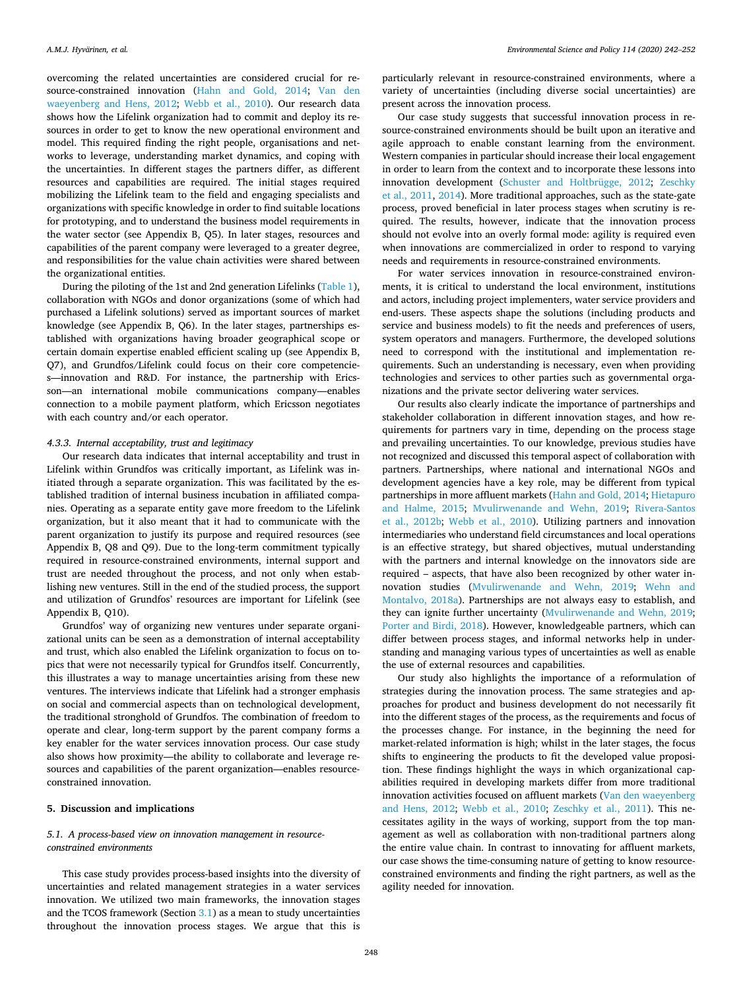overcoming the related uncertainties are considered crucial for resource-constrained innovation ([Hahn and Gold, 2014;](#page-10-51) [Van den](#page-11-31)  [waeyenberg and Hens, 2012;](#page-11-31) [Webb et al., 2010](#page-11-25)). Our research data shows how the Lifelink organization had to commit and deploy its resources in order to get to know the new operational environment and model. This required fnding the right people, organisations and networks to leverage, understanding market dynamics, and coping with the uncertainties. In different stages the partners differ, as different resources and capabilities are required. The initial stages required mobilizing the Lifelink team to the feld and engaging specialists and organizations with specifc knowledge in order to fnd suitable locations for prototyping, and to understand the business model requirements in the water sector (see Appendix B, Q5). In later stages, resources and capabilities of the parent company were leveraged to a greater degree, and responsibilities for the value chain activities were shared between the organizational entities.

During the piloting of the 1st and 2nd generation Lifelinks ([Table 1](#page-4-0)), collaboration with NGOs and donor organizations (some of which had purchased a Lifelink solutions) served as important sources of market knowledge (see Appendix B, Q6). In the later stages, partnerships established with organizations having broader geographical scope or certain domain expertise enabled efficient scaling up (see Appendix B, Q7), and Grundfos/Lifelink could focus on their core competencies—innovation and R&D. For instance, the partnership with Ericsson—an international mobile communications company—enables connection to a mobile payment platform, which Ericsson negotiates with each country and/or each operator.

### *4.3.3. Internal acceptability, trust and legitimacy*

Our research data indicates that internal acceptability and trust in Lifelink within Grundfos was critically important, as Lifelink was initiated through a separate organization. This was facilitated by the established tradition of internal business incubation in affiliated companies. Operating as a separate entity gave more freedom to the Lifelink organization, but it also meant that it had to communicate with the parent organization to justify its purpose and required resources (see Appendix B, Q8 and Q9). Due to the long-term commitment typically required in resource-constrained environments, internal support and trust are needed throughout the process, and not only when establishing new ventures. Still in the end of the studied process, the support and utilization of Grundfos' resources are important for Lifelink (see Appendix B, Q10).

Grundfos' way of organizing new ventures under separate organizational units can be seen as a demonstration of internal acceptability and trust, which also enabled the Lifelink organization to focus on topics that were not necessarily typical for Grundfos itself. Concurrently, this illustrates a way to manage uncertainties arising from these new ventures. The interviews indicate that Lifelink had a stronger emphasis on social and commercial aspects than on technological development, the traditional stronghold of Grundfos. The combination of freedom to operate and clear, long-term support by the parent company forms a key enabler for the water services innovation process. Our case study also shows how proximity—the ability to collaborate and leverage resources and capabilities of the parent organization—enables resourceconstrained innovation.

### <span id="page-7-0"></span>**5. Discussion and implications**

### <span id="page-7-1"></span>*5.1. A process-based view on innovation management in resourceconstrained environments*

This case study provides process-based insights into the diversity of uncertainties and related management strategies in a water services innovation. We utilized two main frameworks, the innovation stages and the TCOS framework (Section [3.1\)](#page-3-0) as a mean to study uncertainties throughout the innovation process stages. We argue that this is

particularly relevant in resource-constrained environments, where a variety of uncertainties (including diverse social uncertainties) are present across the innovation process.

Our case study suggests that successful innovation process in resource-constrained environments should be built upon an iterative and agile approach to enable constant learning from the environment. Western companies in particular should increase their local engagement in order to learn from the context and to incorporate these lessons into innovation development ([Schuster and Holtbrügge, 2012;](#page-11-32) [Zeschky](#page-11-22)  [et al., 2011,](#page-11-22) [2014](#page-11-15)). More traditional approaches, such as the state-gate process, proved beneficial in later process stages when scrutiny is required. The results, however, indicate that the innovation process should not evolve into an overly formal mode: agility is required even when innovations are commercialized in order to respond to varying needs and requirements in resource-constrained environments.

For water services innovation in resource-constrained environments, it is critical to understand the local environment, institutions and actors, including project implementers, water service providers and end-users. These aspects shape the solutions (including products and service and business models) to fit the needs and preferences of users, system operators and managers. Furthermore, the developed solutions need to correspond with the institutional and implementation requirements. Such an understanding is necessary, even when providing technologies and services to other parties such as governmental organizations and the private sector delivering water services.

Our results also clearly indicate the importance of partnerships and stakeholder collaboration in diferent innovation stages, and how requirements for partners vary in time, depending on the process stage and prevailing uncertainties. To our knowledge, previous studies have not recognized and discussed this temporal aspect of collaboration with partners. Partnerships, where national and international NGOs and development agencies have a key role, may be diferent from typical partnerships in more affluent markets [\(Hahn and Gold, 2014](#page-10-51); Hietapuro [and Halme, 2015](#page-10-39); [Mvulirwenande and Wehn, 2019](#page-10-29); [Rivera-Santos](#page-11-26)  [et al., 2012b;](#page-11-26) [Webb et al., 2010\)](#page-11-25). Utilizing partners and innovation intermediaries who understand feld circumstances and local operations is an efective strategy, but shared objectives, mutual understanding with the partners and internal knowledge on the innovators side are required – aspects, that have also been recognized by other water innovation studies ([Mvulirwenande and Wehn, 2019](#page-10-29); [Wehn and](#page-11-21)  [Montalvo, 2018a\)](#page-11-21). Partnerships are not always easy to establish, and they can ignite further uncertainty [\(Mvulirwenande and Wehn, 2019](#page-10-29); [Porter and Birdi, 2018](#page-10-52)). However, knowledgeable partners, which can difer between process stages, and informal networks help in understanding and managing various types of uncertainties as well as enable the use of external resources and capabilities.

Our study also highlights the importance of a reformulation of strategies during the innovation process. The same strategies and approaches for product and business development do not necessarily ft into the diferent stages of the process, as the requirements and focus of the processes change. For instance, in the beginning the need for market-related information is high; whilst in the later stages, the focus shifts to engineering the products to fit the developed value proposition. These fndings highlight the ways in which organizational capabilities required in developing markets difer from more traditional innovation activities focused on affluent markets (Van den waeyenberg [and Hens, 2012;](#page-11-31) [Webb et al., 2010;](#page-11-25) [Zeschky et al., 2011\)](#page-11-22). This necessitates agility in the ways of working, support from the top management as well as collaboration with non-traditional partners along the entire value chain. In contrast to innovating for affluent markets, our case shows the time-consuming nature of getting to know resourceconstrained environments and fnding the right partners, as well as the agility needed for innovation.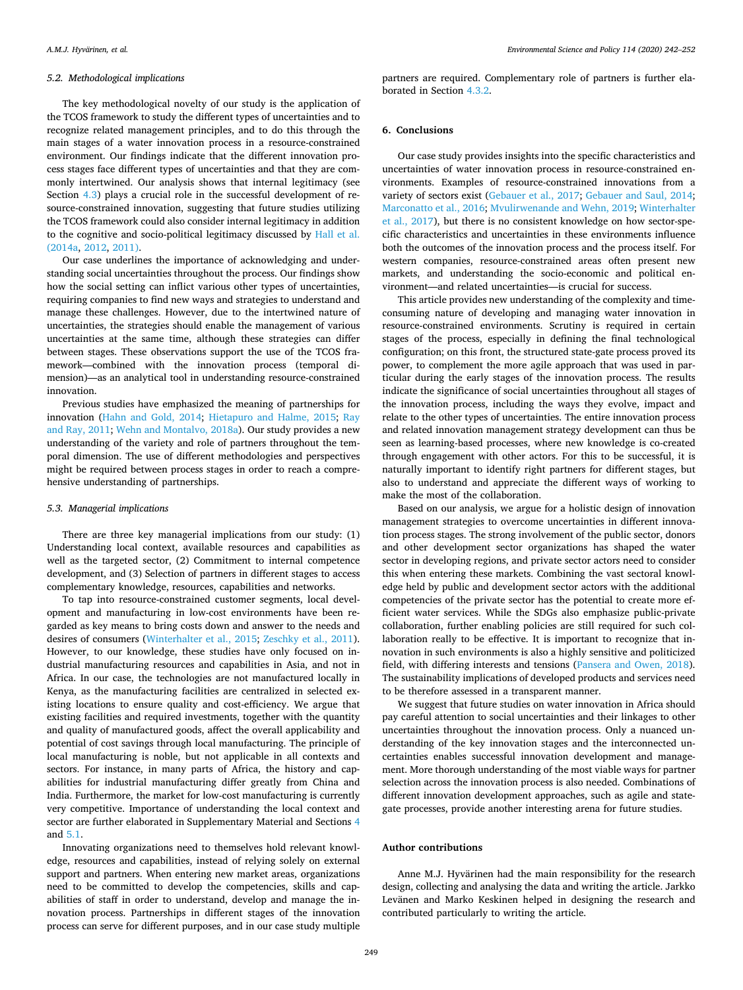#### *5.2. Methodological implications*

The key methodological novelty of our study is the application of the TCOS framework to study the diferent types of uncertainties and to recognize related management principles, and to do this through the main stages of a water innovation process in a resource-constrained environment. Our fndings indicate that the diferent innovation process stages face diferent types of uncertainties and that they are commonly intertwined. Our analysis shows that internal legitimacy (see Section [4.3\)](#page-6-1) plays a crucial role in the successful development of resource-constrained innovation, suggesting that future studies utilizing the TCOS framework could also consider internal legitimacy in addition to the cognitive and socio-political legitimacy discussed by [Hall et al.](#page-10-53)  [\(2014a,](#page-10-53) [2012](#page-10-54), [2011\)](#page-10-12).

Our case underlines the importance of acknowledging and understanding social uncertainties throughout the process. Our fndings show how the social setting can infict various other types of uncertainties, requiring companies to fnd new ways and strategies to understand and manage these challenges. However, due to the intertwined nature of uncertainties, the strategies should enable the management of various uncertainties at the same time, although these strategies can difer between stages. These observations support the use of the TCOS framework—combined with the innovation process (temporal dimension)—as an analytical tool in understanding resource-constrained innovation.

Previous studies have emphasized the meaning of partnerships for innovation [\(Hahn and Gold, 2014;](#page-10-51) [Hietapuro and Halme, 2015;](#page-10-39) [Ray](#page-11-2)  [and Ray, 2011;](#page-11-2) [Wehn and Montalvo, 2018a](#page-11-21)). Our study provides a new understanding of the variety and role of partners throughout the temporal dimension. The use of diferent methodologies and perspectives might be required between process stages in order to reach a comprehensive understanding of partnerships.

#### *5.3. Managerial implications*

There are three key managerial implications from our study: (1) Understanding local context, available resources and capabilities as well as the targeted sector, (2) Commitment to internal competence development, and (3) Selection of partners in diferent stages to access complementary knowledge, resources, capabilities and networks.

To tap into resource-constrained customer segments, local development and manufacturing in low-cost environments have been regarded as key means to bring costs down and answer to the needs and desires of consumers [\(Winterhalter et al., 2015](#page-11-6); [Zeschky et al., 2011](#page-11-22)). However, to our knowledge, these studies have only focused on industrial manufacturing resources and capabilities in Asia, and not in Africa. In our case, the technologies are not manufactured locally in Kenya, as the manufacturing facilities are centralized in selected existing locations to ensure quality and cost-efficiency. We argue that existing facilities and required investments, together with the quantity and quality of manufactured goods, afect the overall applicability and potential of cost savings through local manufacturing. The principle of local manufacturing is noble, but not applicable in all contexts and sectors. For instance, in many parts of Africa, the history and capabilities for industrial manufacturing difer greatly from China and India. Furthermore, the market for low-cost manufacturing is currently very competitive. Importance of understanding the local context and sector are further elaborated in Supplementary Material and Sections [4](#page-6-0)  and [5.1.](#page-7-1)

Innovating organizations need to themselves hold relevant knowledge, resources and capabilities, instead of relying solely on external support and partners. When entering new market areas, organizations need to be committed to develop the competencies, skills and capabilities of staff in order to understand, develop and manage the innovation process. Partnerships in diferent stages of the innovation process can serve for diferent purposes, and in our case study multiple

partners are required. Complementary role of partners is further elaborated in Section [4.3.2](#page-6-2).

### **6. Conclusions**

Our case study provides insights into the specifc characteristics and uncertainties of water innovation process in resource-constrained environments. Examples of resource-constrained innovations from a variety of sectors exist [\(Gebauer et al., 2017;](#page-10-6) [Gebauer and Saul, 2014](#page-10-7); [Marconatto et al., 2016;](#page-10-55) [Mvulirwenande and Wehn, 2019](#page-10-29); [Winterhalter](#page-11-5)  [et al., 2017\)](#page-11-5), but there is no consistent knowledge on how sector-specifc characteristics and uncertainties in these environments infuence both the outcomes of the innovation process and the process itself. For western companies, resource-constrained areas often present new markets, and understanding the socio-economic and political environment—and related uncertainties—is crucial for success.

This article provides new understanding of the complexity and timeconsuming nature of developing and managing water innovation in resource-constrained environments. Scrutiny is required in certain stages of the process, especially in defning the fnal technological confguration; on this front, the structured state-gate process proved its power, to complement the more agile approach that was used in particular during the early stages of the innovation process. The results indicate the signifcance of social uncertainties throughout all stages of the innovation process, including the ways they evolve, impact and relate to the other types of uncertainties. The entire innovation process and related innovation management strategy development can thus be seen as learning-based processes, where new knowledge is co-created through engagement with other actors. For this to be successful, it is naturally important to identify right partners for diferent stages, but also to understand and appreciate the diferent ways of working to make the most of the collaboration.

Based on our analysis, we argue for a holistic design of innovation management strategies to overcome uncertainties in diferent innovation process stages. The strong involvement of the public sector, donors and other development sector organizations has shaped the water sector in developing regions, and private sector actors need to consider this when entering these markets. Combining the vast sectoral knowledge held by public and development sector actors with the additional competencies of the private sector has the potential to create more efficient water services. While the SDGs also emphasize public-private collaboration, further enabling policies are still required for such collaboration really to be effective. It is important to recognize that innovation in such environments is also a highly sensitive and politicized feld, with difering interests and tensions ([Pansera and Owen, 2018](#page-10-42)). The sustainability implications of developed products and services need to be therefore assessed in a transparent manner.

We suggest that future studies on water innovation in Africa should pay careful attention to social uncertainties and their linkages to other uncertainties throughout the innovation process. Only a nuanced understanding of the key innovation stages and the interconnected uncertainties enables successful innovation development and management. More thorough understanding of the most viable ways for partner selection across the innovation process is also needed. Combinations of diferent innovation development approaches, such as agile and stategate processes, provide another interesting arena for future studies.

### **Author contributions**

Anne M.J. Hyvärinen had the main responsibility for the research design, collecting and analysing the data and writing the article. Jarkko Levänen and Marko Keskinen helped in designing the research and contributed particularly to writing the article.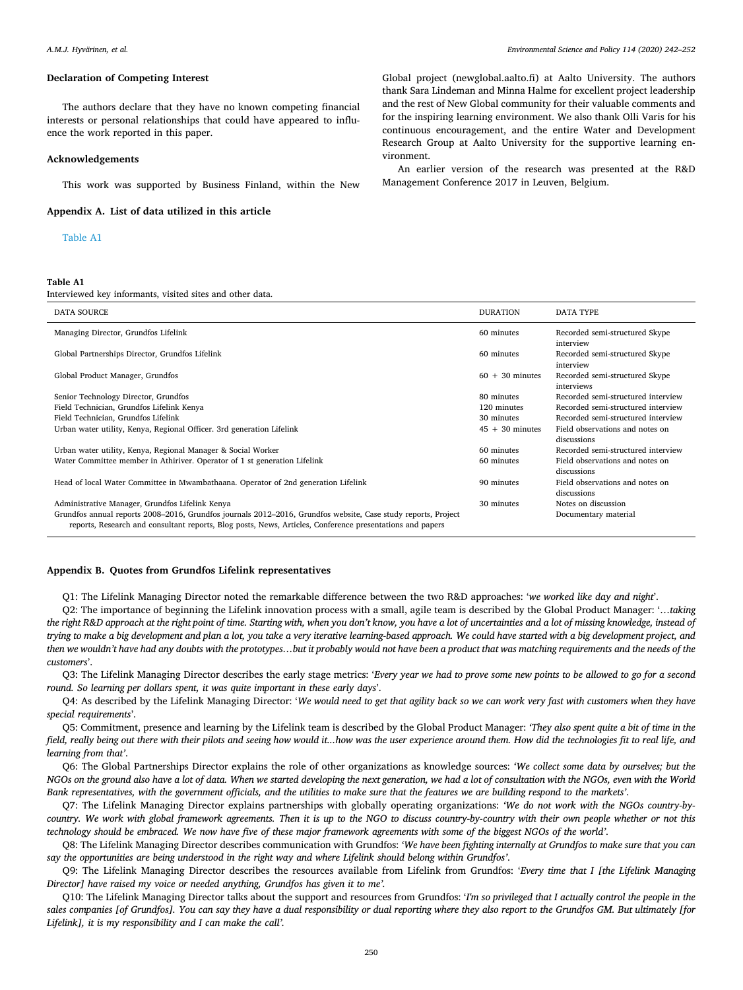#### **Declaration of Competing Interest**

The authors declare that they have no known competing fnancial interests or personal relationships that could have appeared to infuence the work reported in this paper.

#### **Acknowledgements**

This work was supported by Business Finland, within the New

**Appendix A. List of data utilized in this article** 

### [Table A1](#page-9-0)

#### <span id="page-9-0"></span>**Table A1**

Interviewed key informants, visited sites and other data.

Global project (newglobal.aalto.f) at Aalto University. The authors thank Sara Lindeman and Minna Halme for excellent project leadership and the rest of New Global community for their valuable comments and for the inspiring learning environment. We also thank Olli Varis for his continuous encouragement, and the entire Water and Development Research Group at Aalto University for the supportive learning environment.

An earlier version of the research was presented at the R&D Management Conference 2017 in Leuven, Belgium.

| <b>DATA SOURCE</b>                                                                                                                                                                                                         | <b>DURATION</b>   | <b>DATA TYPE</b>                               |
|----------------------------------------------------------------------------------------------------------------------------------------------------------------------------------------------------------------------------|-------------------|------------------------------------------------|
| Managing Director, Grundfos Lifelink                                                                                                                                                                                       | 60 minutes        | Recorded semi-structured Skype<br>interview    |
| Global Partnerships Director, Grundfos Lifelink                                                                                                                                                                            | 60 minutes        | Recorded semi-structured Skype<br>interview    |
| Global Product Manager, Grundfos                                                                                                                                                                                           | $60 + 30$ minutes | Recorded semi-structured Skype<br>interviews   |
| Senior Technology Director, Grundfos                                                                                                                                                                                       | 80 minutes        | Recorded semi-structured interview             |
| Field Technician, Grundfos Lifelink Kenya                                                                                                                                                                                  | 120 minutes       | Recorded semi-structured interview             |
| Field Technician, Grundfos Lifelink                                                                                                                                                                                        | 30 minutes        | Recorded semi-structured interview             |
| Urban water utility, Kenya, Regional Officer. 3rd generation Lifelink                                                                                                                                                      | $45 + 30$ minutes | Field observations and notes on<br>discussions |
| Urban water utility, Kenya, Regional Manager & Social Worker                                                                                                                                                               | 60 minutes        | Recorded semi-structured interview             |
| Water Committee member in Athiriver. Operator of 1 st generation Lifelink                                                                                                                                                  | 60 minutes        | Field observations and notes on<br>discussions |
| Head of local Water Committee in Mwambathaana. Operator of 2nd generation Lifelink                                                                                                                                         | 90 minutes        | Field observations and notes on<br>discussions |
| Administrative Manager, Grundfos Lifelink Kenya                                                                                                                                                                            | 30 minutes        | Notes on discussion                            |
| Grundfos annual reports 2008–2016, Grundfos journals 2012–2016, Grundfos website, Case study reports, Project<br>reports, Research and consultant reports, Blog posts, News, Articles, Conference presentations and papers |                   | Documentary material                           |

### **Appendix B. Quotes from Grundfos Lifelink representatives**

Q1: The Lifelink Managing Director noted the remarkable diference between the two R&D approaches: '*we worked like day and night*'.

Q2: The importance of beginning the Lifelink innovation process with a small, agile team is described by the Global Product Manager: '…*taking the right R&D approach at the right point of time. Starting with, when you don't know, you have a lot of uncertainties and a lot of missing knowledge, instead of trying to make a big development and plan a lot, you take a very iterative learning-based approach. We could have started with a big development project, and then we wouldn't have had any doubts with the prototypes…but it probably would not have been a product that was matching requirements and the needs of the customers*'.

Q3: The Lifelink Managing Director describes the early stage metrics: '*Every year we had to prove some new points to be allowed to go for a second round. So learning per dollars spent, it was quite important in these early days*'.

Q4: As described by the Lifelink Managing Director: '*We would need to get that agility back so we can work very fast with customers when they have special requirements*'.

Q5: Commitment, presence and learning by the Lifelink team is described by the Global Product Manager: *'They also spent quite a bit of time in the feld, really being out there with their pilots and seeing how would it...how was the user experience around them. How did the technologies ft to real life, and learning from that'*.

Q6: The Global Partnerships Director explains the role of other organizations as knowledge sources: *'We collect some data by ourselves; but the NGOs on the ground also have a lot of data. When we started developing the next generation, we had a lot of consultation with the NGOs, even with the World Bank representatives, with the government ofcials, and the utilities to make sure that the features we are building respond to the markets'*.

Q7: The Lifelink Managing Director explains partnerships with globally operating organizations: *'We do not work with the NGOs country-bycountry. We work with global framework agreements. Then it is up to the NGO to discuss country-by-country with their own people whether or not this technology should be embraced. We now have fve of these major framework agreements with some of the biggest NGOs of the world'*.

Q8: The Lifelink Managing Director describes communication with Grundfos: *'We have been fghting internally at Grundfos to make sure that you can say the opportunities are being understood in the right way and where Lifelink should belong within Grundfos'*.

Q9: The Lifelink Managing Director describes the resources available from Lifelink from Grundfos: '*Every time that I [the Lifelink Managing Director] have raised my voice or needed anything, Grundfos has given it to me'.* 

Q10: The Lifelink Managing Director talks about the support and resources from Grundfos: '*I'm so privileged that I actually control the people in the sales companies [of Grundfos]. You can say they have a dual responsibility or dual reporting where they also report to the Grundfos GM. But ultimately [for Lifelink], it is my responsibility and I can make the call'.*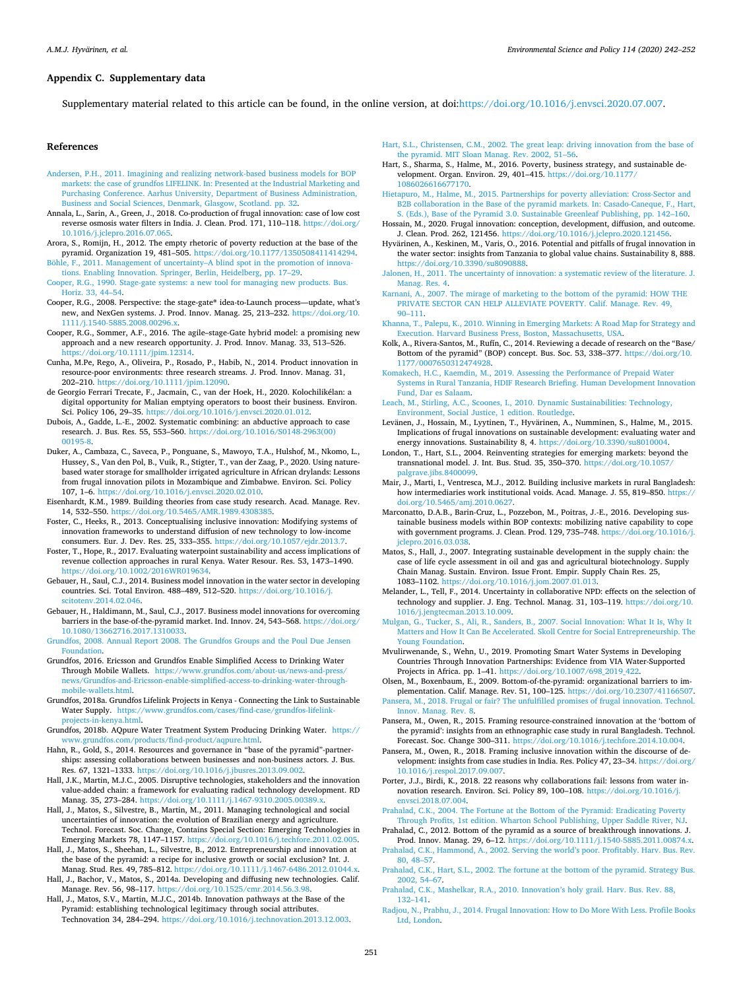### **Appendix C. Supplementary data**

Supplementary material related to this article can be found, in the online version, at doi[:https://doi.org/10.1016/j.envsci.2020.07.007.](https://doi.org/10.1016/j.envsci.2020.07.007)

#### **References**

- <span id="page-10-46"></span>[Andersen, P.H., 2011. Imagining and realizing network-based business models for BOP](http://refhub.elsevier.com/S1462-9011(19)30995-5/sbref0005)  [markets: the case of grundfos LIFELINK. In: Presented at the Industrial Marketing and](http://refhub.elsevier.com/S1462-9011(19)30995-5/sbref0005)  [Purchasing Conference. Aarhus University, Department of Business Administration,](http://refhub.elsevier.com/S1462-9011(19)30995-5/sbref0005)  [Business and Social Sciences, Denmark, Glasgow, Scotland. pp. 32](http://refhub.elsevier.com/S1462-9011(19)30995-5/sbref0005).
- <span id="page-10-14"></span>Annala, L., Sarin, A., Green, J., 2018. Co-production of frugal innovation: case of low cost reverse osmosis water filters in India. J. Clean. Prod. 171, 110-118. https://doi.org/ [10.1016/j.jclepro.2016.07.065.](https://doi.org/10.1016/j.jclepro.2016.07.065)
- <span id="page-10-41"></span>Arora, S., Romijn, H., 2012. The empty rhetoric of poverty reduction at the base of the pyramid. Organization 19, 481–505. [https://doi.org/10.1177/1350508411414294.](https://doi.org/10.1177/1350508411414294) [Böhle, F., 2011. Management of uncertainty–A blind spot in the promotion of innova-](http://refhub.elsevier.com/S1462-9011(19)30995-5/sbref0020)
- <span id="page-10-10"></span>[tions. Enabling Innovation. Springer, Berlin, Heidelberg, pp. 17–29.](http://refhub.elsevier.com/S1462-9011(19)30995-5/sbref0020)
- <span id="page-10-32"></span>[Cooper, R.G., 1990. Stage-gate systems: a new tool for managing new products. Bus.](http://refhub.elsevier.com/S1462-9011(19)30995-5/sbref0025) [Horiz. 33, 44–54.](http://refhub.elsevier.com/S1462-9011(19)30995-5/sbref0025)
- <span id="page-10-31"></span>Cooper, R.G., 2008. Perspective: the stage-gate® idea-to-Launch process—update, what's new, and NexGen systems. J. Prod. Innov. Manag. 25, 213–232. [https://doi.org/10.](https://doi.org/10.1111/j.1540-5885.2008.00296.x)  [1111/j.1540-5885.2008.00296.x](https://doi.org/10.1111/j.1540-5885.2008.00296.x).
- <span id="page-10-33"></span>Cooper, R.G., Sommer, A.F., 2016. The agile–stage-Gate hybrid model: a promising new approach and a new research opportunity. J. Prod. Innov. Manag. 33, 513–526. [https://doi.org/10.1111/jpim.12314.](https://doi.org/10.1111/jpim.12314)
- <span id="page-10-22"></span>Cunha, M.Pe, Rego, A., Oliveira, P., Rosado, P., Habib, N., 2014. Product innovation in resource-poor environments: three research streams. J. Prod. Innov. Manag. 31, 202–210. <https://doi.org/10.1111/jpim.12090>.
- <span id="page-10-23"></span>de Georgio Ferrari Trecate, F., Jacmain, C., van der Hoek, H., 2020. Kolochilikélan: a digital opportunity for Malian emptying operators to boost their business. Environ. Sci. Policy 106, 29–35. [https://doi.org/10.1016/j.envsci.2020.01.012.](https://doi.org/10.1016/j.envsci.2020.01.012)
- <span id="page-10-45"></span>Dubois, A., Gadde, L.-E., 2002. Systematic combining: an abductive approach to case research. J. Bus. Res. 55, 553–560. [https://doi.org/10.1016/S0148-2963\(00\)](https://doi.org/10.1016/S0148-2963(00)00195-8)
- <span id="page-10-24"></span>[00195-8](https://doi.org/10.1016/S0148-2963(00)00195-8). Duker, A., Cambaza, C., Saveca, P., Ponguane, S., Mawoyo, T.A., Hulshof, M., Nkomo, L., Hussey, S., Van den Pol, B., Vuik, R., Stigter, T., van der Zaag, P., 2020. Using naturebased water storage for smallholder irrigated agriculture in African drylands: Lessons from frugal innovation pilots in Mozambique and Zimbabwe. Environ. Sci. Policy 107, 1–6. <https://doi.org/10.1016/j.envsci.2020.02.010>.
- <span id="page-10-43"></span>Eisenhardt, K.M., 1989. Building theories from case study research. Acad. Manage. Rev. 14, 532–550.<https://doi.org/10.5465/AMR.1989.4308385>.
- <span id="page-10-26"></span>Foster, C., Heeks, R., 2013. Conceptualising inclusive innovation: Modifying systems of innovation frameworks to understand difusion of new technology to low-income consumers. Eur. J. Dev. Res. 25, 333–355. [https://doi.org/10.1057/ejdr.2013.7.](https://doi.org/10.1057/ejdr.2013.7)
- <span id="page-10-17"></span>Foster, T., Hope, R., 2017. Evaluating waterpoint sustainability and access implications of revenue collection approaches in rural Kenya. Water Resour. Res. 53, 1473–1490. <https://doi.org/10.1002/2016WR019634>.
- <span id="page-10-7"></span>Gebauer, H., Saul, C.J., 2014. Business model innovation in the water sector in developing countries. Sci. Total Environ. 488–489, 512–520. [https://doi.org/10.1016/j.](https://doi.org/10.1016/j.scitotenv.2014.02.046) [scitotenv.2014.02.046.](https://doi.org/10.1016/j.scitotenv.2014.02.046)
- <span id="page-10-6"></span>Gebauer, H., Haldimann, M., Saul, C.J., 2017. Business model innovations for overcoming barriers in the base-of-the-pyramid market. Ind. Innov. 24, 543–568. [https://doi.org/](https://doi.org/10.1080/13662716.2017.1310033)  [10.1080/13662716.2017.1310033.](https://doi.org/10.1080/13662716.2017.1310033)
- <span id="page-10-47"></span>[Grundfos, 2008. Annual Report 2008. The Grundfos Groups and the Poul Due Jensen](http://refhub.elsevier.com/S1462-9011(19)30995-5/sbref0085) [Foundation.](http://refhub.elsevier.com/S1462-9011(19)30995-5/sbref0085)
- <span id="page-10-49"></span>Grundfos, 2016. Ericsson and Grundfos Enable Simplifed Access to Drinking Water Through Mobile Wallets. [https://www.grundfos.com/about-us/news-and-press/](https://www.grundfos.com/about-us/news-and-press/news/Grundfos-and-Ericsson-enable-simplified-access-to-drinking-water-through-mobile-wallets.html) [news/Grundfos-and-Ericsson-enable-simplifed-access-to-drinking-water-through](https://www.grundfos.com/about-us/news-and-press/news/Grundfos-and-Ericsson-enable-simplified-access-to-drinking-water-through-mobile-wallets.html)[mobile-wallets.html.](https://www.grundfos.com/about-us/news-and-press/news/Grundfos-and-Ericsson-enable-simplified-access-to-drinking-water-through-mobile-wallets.html)
- <span id="page-10-48"></span>Grundfos, 2018a. Grundfos Lifelink Projects in Kenya - Connecting the Link to Sustainable Water Supply. [https://www.grundfos.com/cases/fnd-case/grundfos-lifelink](https://www.grundfos.com/cases/find-case/grundfos-lifelink-projects-in-kenya.html)[projects-in-kenya.html](https://www.grundfos.com/cases/find-case/grundfos-lifelink-projects-in-kenya.html).
- <span id="page-10-50"></span>Grundfos, 2018b. AQpure Water Treatment System Producing Drinking Water. [https://](https://www.grundfos.com/products/find-product/aqpure.html)  [www.grundfos.com/products/fnd-product/aqpure.html](https://www.grundfos.com/products/find-product/aqpure.html).
- <span id="page-10-51"></span>Hahn, R., Gold, S., 2014. Resources and governance in "base of the pyramid"-partnerships: assessing collaborations between businesses and non-business actors. J. Bus. Res. 67, 1321–1333. [https://doi.org/10.1016/j.jbusres.2013.09.002.](https://doi.org/10.1016/j.jbusres.2013.09.002)
- <span id="page-10-18"></span>Hall, J.K., Martin, M.J.C., 2005. Disruptive technologies, stakeholders and the innovation value-added chain: a framework for evaluating radical technology development. RD Manag. 35, 273–284. <https://doi.org/10.1111/j.1467-9310.2005.00389.x>.
- <span id="page-10-12"></span>Hall, J., Matos, S., Silvestre, B., Martin, M., 2011. Managing technological and social uncertainties of innovation: the evolution of Brazilian energy and agriculture. Technol. Forecast. Soc. Change, Contains Special Section: Emerging Technologies in Emerging Markets 78, 1147–1157.<https://doi.org/10.1016/j.techfore.2011.02.005>.
- <span id="page-10-54"></span>Hall, J., Matos, S., Sheehan, L., Silvestre, B., 2012. Entrepreneurship and innovation at the base of the pyramid: a recipe for inclusive growth or social exclusion? Int. J. Manag. Stud. Res. 49, 785–812. [https://doi.org/10.1111/j.1467-6486.2012.01044.x.](https://doi.org/10.1111/j.1467-6486.2012.01044.x)
- <span id="page-10-53"></span>Hall, J., Bachor, V., Matos, S., 2014a. Developing and difusing new technologies. Calif. Manage. Rev. 56, 98–117.<https://doi.org/10.1525/cmr.2014.56.3.98>.
- <span id="page-10-11"></span>Hall, J., Matos, S.V., Martin, M.J.C., 2014b. Innovation pathways at the Base of the Pyramid: establishing technological legitimacy through social attributes. Technovation 34, 284–294. [https://doi.org/10.1016/j.technovation.2013.12.003.](https://doi.org/10.1016/j.technovation.2013.12.003)
- <span id="page-10-2"></span>[Hart, S.L., Christensen, C.M., 2002. The great leap: driving innovation from the base of](http://refhub.elsevier.com/S1462-9011(19)30995-5/sbref0135) [the pyramid. MIT Sloan Manag. Rev. 2002, 51–56.](http://refhub.elsevier.com/S1462-9011(19)30995-5/sbref0135)
- <span id="page-10-37"></span>Hart, S., Sharma, S., Halme, M., 2016. Poverty, business strategy, and sustainable development. Organ. Environ. 29, 401–415. [https://doi.org/10.1177/](https://doi.org/10.1177/1086026616677170) [1086026616677170.](https://doi.org/10.1177/1086026616677170)
- <span id="page-10-39"></span>[Hietapuro, M., Halme, M., 2015. Partnerships for poverty alleviation: Cross-Sector and](http://refhub.elsevier.com/S1462-9011(19)30995-5/sbref0145) [B2B collaboration in the Base of the pyramid markets. In: Casado-Caneque, F., Hart,](http://refhub.elsevier.com/S1462-9011(19)30995-5/sbref0145)  [S. \(Eds.\), Base of the Pyramid 3.0. Sustainable Greenleaf Publishing, pp. 142–160.](http://refhub.elsevier.com/S1462-9011(19)30995-5/sbref0145)
- <span id="page-10-27"></span>Hossain, M., 2020. Frugal innovation: conception, development, difusion, and outcome. J. Clean. Prod. 262, 121456. [https://doi.org/10.1016/j.jclepro.2020.121456.](https://doi.org/10.1016/j.jclepro.2020.121456)
- <span id="page-10-8"></span>Hyvärinen, A., Keskinen, M., Varis, O., 2016. Potential and pitfalls of frugal innovation in the water sector: insights from Tanzania to global value chains. Sustainability 8, 888. [https://doi.org/10.3390/su8090888.](https://doi.org/10.3390/su8090888)
- <span id="page-10-19"></span>[Jalonen, H., 2011. The uncertainty of innovation: a systematic review of the literature. J.](http://refhub.elsevier.com/S1462-9011(19)30995-5/sbref0160)  [Manag. Res. 4.](http://refhub.elsevier.com/S1462-9011(19)30995-5/sbref0160)
- <span id="page-10-15"></span>[Karnani, A., 2007. The mirage of marketing to the bottom of the pyramid: HOW THE](http://refhub.elsevier.com/S1462-9011(19)30995-5/sbref0165) [PRIVATE SECTOR CAN HELP ALLEVIATE POVERTY. Calif. Manage. Rev. 49,](http://refhub.elsevier.com/S1462-9011(19)30995-5/sbref0165) [90–111.](http://refhub.elsevier.com/S1462-9011(19)30995-5/sbref0165)
- <span id="page-10-34"></span>[Khanna, T., Palepu, K., 2010. Winning in Emerging Markets: A Road Map for Strategy and](http://refhub.elsevier.com/S1462-9011(19)30995-5/sbref0170)  [Execution. Harvard Business Press, Boston, Massachusetts, USA.](http://refhub.elsevier.com/S1462-9011(19)30995-5/sbref0170)
- <span id="page-10-40"></span>Kolk, A., Rivera-Santos, M., Rufín, C., 2014. Reviewing a decade of research on the "Base/ Bottom of the pyramid" (BOP) concept. Bus. Soc. 53, 338–377. [https://doi.org/10.](https://doi.org/10.1177/0007650312474928) [1177/0007650312474928](https://doi.org/10.1177/0007650312474928).
- <span id="page-10-44"></span>[Komakech, H.C., Kaemdin, M., 2019. Assessing the Performance of Prepaid Water](http://refhub.elsevier.com/S1462-9011(19)30995-5/sbref0180) [Systems in Rural Tanzania, HDIF Research Briefng. Human Development Innovation](http://refhub.elsevier.com/S1462-9011(19)30995-5/sbref0180)  [Fund, Dar es Salaam](http://refhub.elsevier.com/S1462-9011(19)30995-5/sbref0180).
- <span id="page-10-16"></span>[Leach, M., Stirling, A.C., Scoones, I., 2010. Dynamic Sustainabilities: Technology,](http://refhub.elsevier.com/S1462-9011(19)30995-5/sbref0185) [Environment, Social Justice, 1 edition. Routledge](http://refhub.elsevier.com/S1462-9011(19)30995-5/sbref0185).
- <span id="page-10-9"></span>Levänen, J., Hossain, M., Lyytinen, T., Hyvärinen, A., Numminen, S., Halme, M., 2015. Implications of frugal innovations on sustainable development: evaluating water and energy innovations. Sustainability 8, 4.<https://doi.org/10.3390/su8010004>.
- <span id="page-10-38"></span>London, T., Hart, S.L., 2004. Reinventing strategies for emerging markets: beyond the transnational model. J. Int. Bus. Stud. 35, 350–370. [https://doi.org/10.1057/](https://doi.org/10.1057/palgrave.jibs.8400099) [palgrave.jibs.8400099](https://doi.org/10.1057/palgrave.jibs.8400099).
- <span id="page-10-35"></span>Mair, J., Marti, I., Ventresca, M.J., 2012. Building inclusive markets in rural Bangladesh: how intermediaries work institutional voids. Acad. Manage. J. 55, 819–850. [https://](https://doi.org/10.5465/amj.2010.0627)  [doi.org/10.5465/amj.2010.0627](https://doi.org/10.5465/amj.2010.0627).
- <span id="page-10-55"></span>Marconatto, D.A.B., Barin-Cruz, L., Pozzebon, M., Poitras, J.-E., 2016. Developing sustainable business models within BOP contexts: mobilizing native capability to cope with government programs. J. Clean. Prod. 129, 735–748. [https://doi.org/10.1016/j.](https://doi.org/10.1016/j.jclepro.2016.03.038)  [jclepro.2016.03.038.](https://doi.org/10.1016/j.jclepro.2016.03.038)
- <span id="page-10-20"></span>Matos, S., Hall, J., 2007. Integrating sustainable development in the supply chain: the case of life cycle assessment in oil and gas and agricultural biotechnology. Supply Chain Manag. Sustain. Environ. Issue Front. Empir. Supply Chain Res. 25, 1083–1102.<https://doi.org/10.1016/j.jom.2007.01.013>.
- <span id="page-10-13"></span>Melander, L., Tell, F., 2014. Uncertainty in collaborative NPD: efects on the selection of technology and supplier. J. Eng. Technol. Manag. 31, 103–119. [https://doi.org/10.](https://doi.org/10.1016/j.jengtecman.2013.10.009) [1016/j.jengtecman.2013.10.009.](https://doi.org/10.1016/j.jengtecman.2013.10.009)
- <span id="page-10-28"></span>[Mulgan, G., Tucker, S., Ali, R., Sanders, B., 2007. Social Innovation: What It Is, Why It](http://refhub.elsevier.com/S1462-9011(19)30995-5/sbref0220)  [Matters and How It Can Be Accelerated. Skoll Centre for Social Entrepreneurship. The](http://refhub.elsevier.com/S1462-9011(19)30995-5/sbref0220)  [Young Foundation.](http://refhub.elsevier.com/S1462-9011(19)30995-5/sbref0220)
- <span id="page-10-29"></span>Mvulirwenande, S., Wehn, U., 2019. Promoting Smart Water Systems in Developing Countries Through Innovation Partnerships: Evidence from VIA Water-Supported Projects in Africa. pp. 1–41. [https://doi.org/10.1007/698\\_2019\\_422](https://doi.org/10.1007/698_2019_422).
- <span id="page-10-36"></span>Olsen, M., Boxenbaum, E., 2009. Bottom-of-the-pyramid: organizational barriers to implementation. Calif. Manage. Rev. 51, 100–125. [https://doi.org/10.2307/41166507.](https://doi.org/10.2307/41166507)

<span id="page-10-5"></span>[Pansera, M., 2018. Frugal or fair? The unfulflled promises of frugal innovation. Technol.](http://refhub.elsevier.com/S1462-9011(19)30995-5/sbref0235)  [Innov. Manag. Rev. 8.](http://refhub.elsevier.com/S1462-9011(19)30995-5/sbref0235)

- <span id="page-10-25"></span>Pansera, M., Owen, R., 2015. Framing resource-constrained innovation at the 'bottom of the pyramid': insights from an ethnographic case study in rural Bangladesh. Technol. Forecast. Soc. Change 300–311. [https://doi.org/10.1016/j.techfore.2014.10.004.](https://doi.org/10.1016/j.techfore.2014.10.004)
- <span id="page-10-42"></span>Pansera, M., Owen, R., 2018. Framing inclusive innovation within the discourse of development: insights from case studies in India. Res. Policy 47, 23–34. [https://doi.org/](https://doi.org/10.1016/j.respol.2017.09.007)  [10.1016/j.respol.2017.09.007](https://doi.org/10.1016/j.respol.2017.09.007).
- <span id="page-10-52"></span>Porter, J.J., Birdi, K., 2018. 22 reasons why collaborations fail: lessons from water innovation research. Environ. Sci. Policy 89, 100–108. [https://doi.org/10.1016/j.](https://doi.org/10.1016/j.envsci.2018.07.004)  [envsci.2018.07.004.](https://doi.org/10.1016/j.envsci.2018.07.004)

<span id="page-10-1"></span>[Prahalad, C.K., 2004. The Fortune at the Bottom of the Pyramid: Eradicating Poverty](http://refhub.elsevier.com/S1462-9011(19)30995-5/sbref0255)  [Through Profts, 1st edition. Wharton School Publishing, Upper Saddle River, NJ](http://refhub.elsevier.com/S1462-9011(19)30995-5/sbref0255).

- <span id="page-10-0"></span>Prahalad, C., 2012. Bottom of the pyramid as a source of breakthrough innovations. J. Prod. Innov. Manag. 29, 6–12. [https://doi.org/10.1111/j.1540-5885.2011.00874.x.](https://doi.org/10.1111/j.1540-5885.2011.00874.x)
- <span id="page-10-3"></span>[Prahalad, C.K., Hammond, A., 2002. Serving the world's poor. Proftably. Harv. Bus. Rev.](http://refhub.elsevier.com/S1462-9011(19)30995-5/sbref0265)  [80, 48–57](http://refhub.elsevier.com/S1462-9011(19)30995-5/sbref0265).
- <span id="page-10-4"></span>[Prahalad, C.K., Hart, S.L., 2002. The fortune at the bottom of the pyramid. Strategy Bus.](http://refhub.elsevier.com/S1462-9011(19)30995-5/sbref0270)  [2002, 54–67](http://refhub.elsevier.com/S1462-9011(19)30995-5/sbref0270).
- <span id="page-10-21"></span>[Prahalad, C.K., Mashelkar, R.A., 2010. Innovation's holy grail. Harv. Bus. Rev. 88,](http://refhub.elsevier.com/S1462-9011(19)30995-5/sbref0275)  [132–141](http://refhub.elsevier.com/S1462-9011(19)30995-5/sbref0275).
- <span id="page-10-30"></span>[Radjou, N., Prabhu, J., 2014. Frugal Innovation: How to Do More With Less. Profle Books](http://refhub.elsevier.com/S1462-9011(19)30995-5/sbref0280)  [Ltd, London.](http://refhub.elsevier.com/S1462-9011(19)30995-5/sbref0280)